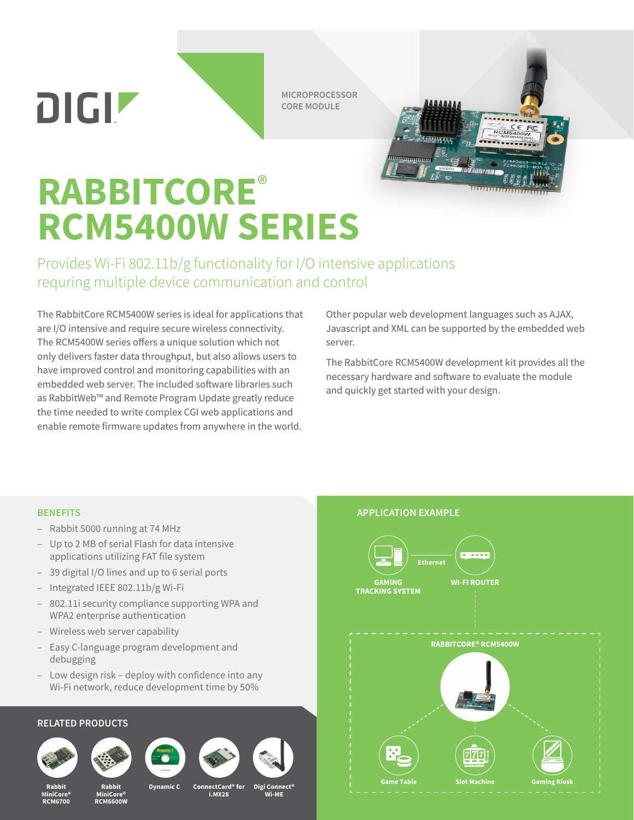DIGIZ

**MICROPROCESSOR CORE MODULE**

# **RABBITCORE**® **RCM5400W SERIES**

Provides Wi-Fi 802.11b/g functionality for I/O intensive applications requring multiple device communication and control

The RabbitCore RCM5400W series is ideal for applications that are I/O intensive and require secure wireless connectivity. The RCM5400W series offers a unique solution which not only delivers faster data throughput, but also allows users to have improved control and monitoring capabilities with an embedded web server. The included software libraries such as RabbitWeb™ and Remote Program Update greatly reduce the time needed to write complex CGI web applications and enable remote firmware updates from anywhere in the world.

Other popular web development languages such as AJAX, Javascript and XML can be supported by the embedded web server.

 $\overline{R}$ 

The RabbitCore RCM5400W development kit provides all the necessary hardware and software to evaluate the module and quickly get started with your design.

### **BENEFITS**

- Rabbit 5000 running at 74 MHz
- Up to 2 MB of serial Flash for data intensive applications utilizing FAT file system
- 39 digital I/O lines and up to 6 serial ports
- Integrated IEEE 802.11b/g Wi-Fi
- 802.11i security compliance supporting WPA and WPA2 enterprise authentication
- Wireless web server capability
- Easy C-language program development and debugging
- Low design risk deploy with confidence into any Wi-Fi network, reduce development time by 50%

## **RELATED PRODUCTS**



**Rabbit MiniCore® RCM6700**



**Rabbit MiniCore® RCM6600W**





**i.MX28**

**Wi-ME**



#### **APPLICATION EXAMPLE**

այսպանատոր